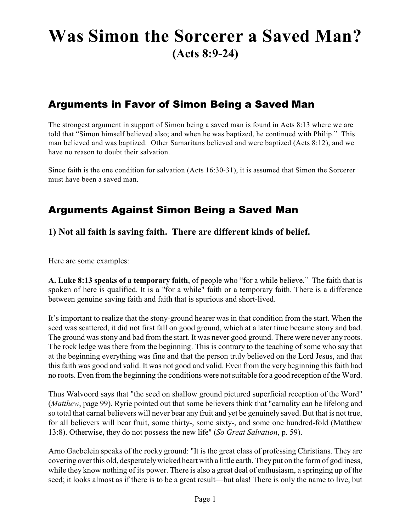# **Was Simon the Sorcerer a Saved Man? (Acts 8:9-24)**

# Arguments in Favor of Simon Being a Saved Man

The strongest argument in support of Simon being a saved man is found in Acts 8:13 where we are told that "Simon himself believed also; and when he was baptized, he continued with Philip." This man believed and was baptized. Other Samaritans believed and were baptized (Acts 8:12), and we have no reason to doubt their salvation.

Since faith is the one condition for salvation (Acts 16:30-31), it is assumed that Simon the Sorcerer must have been a saved man.

## Arguments Against Simon Being a Saved Man

### **1) Not all faith is saving faith. There are different kinds of belief.**

Here are some examples:

**A. Luke 8:13 speaks of a temporary faith**, of people who "for a while believe." The faith that is spoken of here is qualified. It is a "for a while" faith or a temporary faith. There is a difference between genuine saving faith and faith that is spurious and short-lived.

It's important to realize that the stony-ground hearer was in that condition from the start. When the seed was scattered, it did not first fall on good ground, which at a later time became stony and bad. The ground was stony and bad from the start. It was never good ground. There were never any roots. The rock ledge was there from the beginning. This is contrary to the teaching of some who say that at the beginning everything was fine and that the person truly believed on the Lord Jesus, and that this faith was good and valid. It was not good and valid. Even from the very beginning this faith had no roots. Even from the beginning the conditions were not suitable for a good reception of the Word.

Thus Walvoord says that "the seed on shallow ground pictured superficial reception of the Word" (*Matthew*, page 99). Ryrie pointed out that some believers think that "carnality can be lifelong and so total that carnal believers will never bear any fruit and yet be genuinely saved. But that is not true, for all believers will bear fruit, some thirty-, some sixty-, and some one hundred-fold (Matthew 13:8). Otherwise, they do not possess the new life" (*So Great Salvation*, p. 59).

Arno Gaebelein speaks of the rocky ground: "It is the great class of professing Christians. They are covering over this old, desperatelywicked heart with a little earth. They put on the form of godliness, while they know nothing of its power. There is also a great deal of enthusiasm, a springing up of the seed; it looks almost as if there is to be a great result—but alas! There is only the name to live, but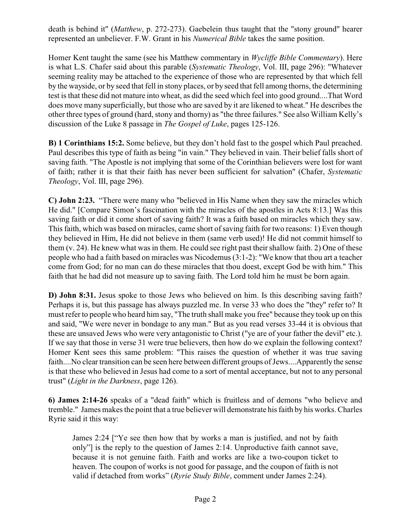death is behind it" (*Matthew*, p. 272-273). Gaebelein thus taught that the "stony ground" hearer represented an unbeliever. F.W. Grant in his *Numerical Bible* takes the same position.

Homer Kent taught the same (see his Matthew commentary in *Wycliffe Bible Commentary*). Here is what L.S. Chafer said about this parable (*Systematic Theology*, Vol. III, page 296): "Whatever seeming reality may be attached to the experience of those who are represented by that which fell by the wayside, or by seed that fell in stony places, or by seed that fell among thorns, the determining test is that these did not mature into wheat, as did the seed which feel into good ground....That Word does move many superficially, but those who are saved by it are likened to wheat." He describes the other three types of ground (hard, stony and thorny) as "the three failures." See also William Kelly's discussion of the Luke 8 passage in *The Gospel of Luke*, pages 125-126.

**B) 1 Corinthians 15:2.** Some believe, but they don't hold fast to the gospel which Paul preached. Paul describes this type of faith as being "in vain." They believed in vain. Their belief falls short of saving faith. "The Apostle is not implying that some of the Corinthian believers were lost for want of faith; rather it is that their faith has never been sufficient for salvation" (Chafer, *Systematic Theology*, Vol. III, page 296).

**C) John 2:23.** "There were many who "believed in His Name when they saw the miracles which He did." [Compare Simon's fascination with the miracles of the apostles in Acts 8:13.] Was this saving faith or did it come short of saving faith? It was a faith based on miracles which they saw. This faith, which was based on miracles, came short of saving faith for two reasons: 1) Even though they believed in Him, He did not believe in them (same verb used)! He did not commit himself to them (v. 24). He knew what was in them. He could see right past their shallow faith. 2) One of these people who had a faith based on miracles was Nicodemus (3:1-2): "We know that thou art a teacher come from God; for no man can do these miracles that thou doest, except God be with him." This faith that he had did not measure up to saving faith. The Lord told him he must be born again.

**D) John 8:31.** Jesus spoke to those Jews who believed on him. Is this describing saving faith? Perhaps it is, but this passage has always puzzled me. In verse 33 who does the "they" refer to? It must refer to people who heard him say, "The truth shall make you free" because they took up on this and said, "We were never in bondage to any man." But as you read verses 33-44 it is obvious that these are unsaved Jews who were very antagonistic to Christ ("ye are of your father the devil" etc.). If we say that those in verse 31 were true believers, then how do we explain the following context? Homer Kent sees this same problem: "This raises the question of whether it was true saving faith....No clear transition can be seen here between different groups of Jews....Apparently the sense is that these who believed in Jesus had come to a sort of mental acceptance, but not to any personal trust" (*Light in the Darkness*, page 126).

**6) James 2:14-26** speaks of a "dead faith" which is fruitless and of demons "who believe and tremble." James makes the point that a true believer will demonstrate his faith by his works. Charles Ryrie said it this way:

James 2:24 ["Ye see then how that by works a man is justified, and not by faith only"] is the reply to the question of James 2:14. Unproductive faith cannot save, because it is not genuine faith. Faith and works are like a two-coupon ticket to heaven. The coupon of works is not good for passage, and the coupon of faith is not valid if detached from works" (*Ryrie Study Bible*, comment under James 2:24).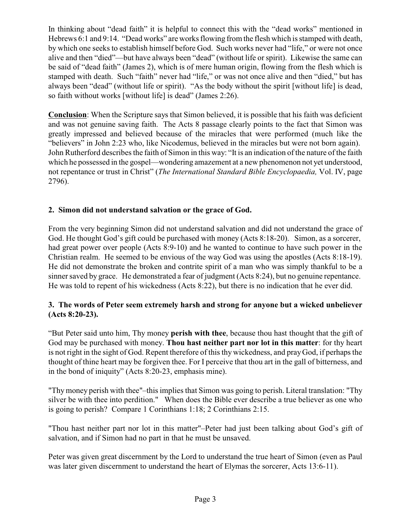In thinking about "dead faith" it is helpful to connect this with the "dead works" mentioned in Hebrews 6:1 and 9:14. "Dead works" are works flowing from the flesh which is stamped with death, by which one seeks to establish himself before God. Such works never had "life," or were not once alive and then "died"—but have always been "dead" (without life or spirit). Likewise the same can be said of "dead faith" (James 2), which is of mere human origin, flowing from the flesh which is stamped with death. Such "faith" never had "life," or was not once alive and then "died," but has always been "dead" (without life or spirit). "As the body without the spirit [without life] is dead, so faith without works [without life] is dead" (James 2:26).

**Conclusion**: When the Scripture says that Simon believed, it is possible that his faith was deficient and was not genuine saving faith. The Acts 8 passage clearly points to the fact that Simon was greatly impressed and believed because of the miracles that were performed (much like the "believers" in John 2:23 who, like Nicodemus, believed in the miracles but were not born again). John Rutherford describes the faith of Simon in this way: "It is an indication of the nature of the faith which he possessed in the gospel—wondering amazement at a new phenomenon not yet understood, not repentance or trust in Christ" (*The International Standard Bible Encyclopaedia,* Vol. IV, page 2796).

#### **2. Simon did not understand salvation or the grace of God.**

From the very beginning Simon did not understand salvation and did not understand the grace of God. He thought God's gift could be purchased with money (Acts 8:18-20). Simon, as a sorcerer, had great power over people (Acts 8:9-10) and he wanted to continue to have such power in the Christian realm. He seemed to be envious of the way God was using the apostles (Acts 8:18-19). He did not demonstrate the broken and contrite spirit of a man who was simply thankful to be a sinner saved by grace. He demonstrated a fear of judgment (Acts 8:24), but no genuine repentance. He was told to repent of his wickedness (Acts 8:22), but there is no indication that he ever did.

#### **3. The words of Peter seem extremely harsh and strong for anyone but a wicked unbeliever (Acts 8:20-23).**

"But Peter said unto him, Thy money **perish with thee**, because thou hast thought that the gift of God may be purchased with money. **Thou hast neither part nor lot in this matter**: for thy heart is not right in the sight of God. Repent therefore of this thy wickedness, and prayGod, if perhaps the thought of thine heart may be forgiven thee. For I perceive that thou art in the gall of bitterness, and in the bond of iniquity" (Acts 8:20-23, emphasis mine).

"Thymoney perish with thee"–this implies that Simon was going to perish. Literal translation: "Thy silver be with thee into perdition." When does the Bible ever describe a true believer as one who is going to perish? Compare 1 Corinthians 1:18; 2 Corinthians 2:15.

"Thou hast neither part nor lot in this matter"–Peter had just been talking about God's gift of salvation, and if Simon had no part in that he must be unsaved.

Peter was given great discernment by the Lord to understand the true heart of Simon (even as Paul was later given discernment to understand the heart of Elymas the sorcerer, Acts 13:6-11).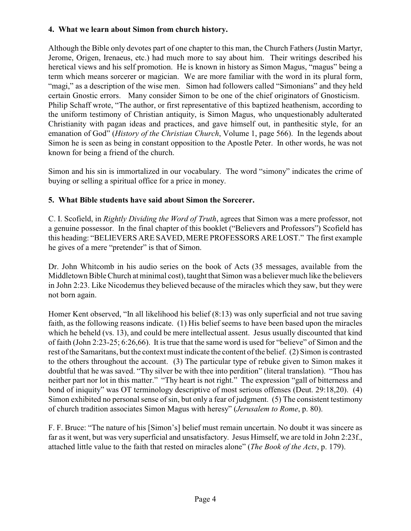#### **4. What we learn about Simon from church history.**

Although the Bible only devotes part of one chapter to this man, the Church Fathers (Justin Martyr, Jerome, Origen, Irenaeus, etc.) had much more to say about him. Their writings described his heretical views and his self promotion. He is known in history as Simon Magus, "magus" being a term which means sorcerer or magician. We are more familiar with the word in its plural form, "magi," as a description of the wise men. Simon had followers called "Simonians" and they held certain Gnostic errors. Many consider Simon to be one of the chief originators of Gnosticism. Philip Schaff wrote, "The author, or first representative of this baptized heathenism, according to the uniform testimony of Christian antiquity, is Simon Magus, who unquestionably adulterated Christianity with pagan ideas and practices, and gave himself out, in panthesitic style, for an emanation of God" (*History of the Christian Church*, Volume 1, page 566). In the legends about Simon he is seen as being in constant opposition to the Apostle Peter. In other words, he was not known for being a friend of the church.

Simon and his sin is immortalized in our vocabulary. The word "simony" indicates the crime of buying or selling a spiritual office for a price in money.

#### **5. What Bible students have said about Simon the Sorcerer.**

C. I. Scofield, in *Rightly Dividing the Word of Truth*, agrees that Simon was a mere professor, not a genuine possessor. In the final chapter of this booklet ("Believers and Professors") Scofield has this heading: "BELIEVERS ARE SAVED, MERE PROFESSORS ARE LOST." The first example he gives of a mere "pretender" is that of Simon.

Dr. John Whitcomb in his audio series on the book of Acts (35 messages, available from the Middletown Bible Church at minimal cost), taught that Simon was a believer much like the believers in John 2:23. Like Nicodemus they believed because of the miracles which they saw, but they were not born again.

Homer Kent observed, "In all likelihood his belief (8:13) was only superficial and not true saving faith, as the following reasons indicate. (1) His belief seems to have been based upon the miracles which he beheld (vs. 13), and could be mere intellectual assent. Jesus usually discounted that kind of faith (John 2:23-25; 6:26,66). It is true that the same word is used for "believe" of Simon and the rest of the Samaritans, but the context must indicate the content of the belief. (2) Simon is contrasted to the others throughout the account. (3) The particular type of rebuke given to Simon makes it doubtful that he was saved. "Thy silver be with thee into perdition" (literal translation). "Thou has neither part nor lot in this matter." "Thy heart is not right." The expression "gall of bitterness and bond of iniquity" was OT terminology descriptive of most serious offenses (Deut. 29:18,20). (4) Simon exhibited no personal sense of sin, but only a fear of judgment. (5) The consistent testimony of church tradition associates Simon Magus with heresy" (*Jerusalem to Rome*, p. 80).

F. F. Bruce: "The nature of his [Simon's] belief must remain uncertain. No doubt it was sincere as far as it went, but was very superficial and unsatisfactory. Jesus Himself, we are told in John 2:23f., attached little value to the faith that rested on miracles alone" (*The Book of the Acts*, p. 179).